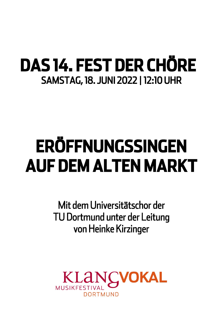# **DAS 14. FEST DER CHÖRE** SAMSTAG, 18. JUNI 2022 | 12:10 UHR

# **ERÖFFNUNGSSINGEN AUF DEM ALTEN MARKT**

Mit dem Universitätschor der TU Dortmund unter der Leitung von Heinke Kirzinger

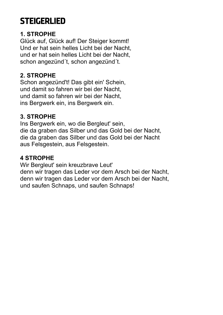### **STEIGERLIED**

#### **1. STROPHE**

Glück auf, Glück auf! Der Steiger kommt! Und er hat sein helles Licht bei der Nacht, und er hat sein helles Licht bei der Nacht, schon angezünd´t, schon angezünd´t.

#### **2. STROPHE**

Schon angezünd't! Das gibt ein' Schein, und damit so fahren wir bei der Nacht, und damit so fahren wir bei der Nacht, ins Bergwerk ein, ins Bergwerk ein.

#### **3. STROPHE**

Ins Bergwerk ein, wo die Bergleut' sein, die da graben das Silber und das Gold bei der Nacht, die da graben das Silber und das Gold bei der Nacht aus Felsgestein, aus Felsgestein.

#### **4 STROPHE**

Wir Bergleut' sein kreuzbrave Leut' denn wir tragen das Leder vor dem Arsch bei der Nacht, denn wir tragen das Leder vor dem Arsch bei der Nacht, und saufen Schnaps, und saufen Schnaps!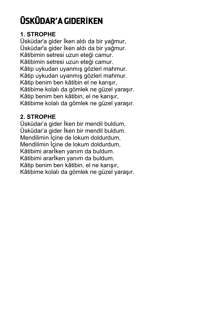### **ÜSKÜDAR'A GIDERİKEN**

#### **1. STROPHE**

Üsküdar'a gider İken aldı da bir yağmur, Üsküdar'a gider İken aldı da bir yağmur. Kâtibimin setresi uzun eteği camur. Kâtibimin setresi uzun eteği camur. Kâtip uykudan uyanmış gözleri mahmur. Kâtip uykudan uyanmış gözleri mahmur. Kâtip benim ben kâtibin el ne karışır, Kâtibime kolalı da gömlek ne güzel yaraşır. Kâtip benim ben kâtibin, el ne karışır, Kâtibime kolalı da gömlek ne güzel yaraşır.

#### **2. STROPHE**

Üsküdar'a gider İken bir mendil buldum, Üsküdar'a gider İken bir mendil buldum. Mendilimin İçine de lokum doldurdum, Mendilimin İçine de lokum doldurdum, Kâtibimi ararİken yanım da buldum. Kâtibimi ararİken yanım da buldum. Kâtip benim ben kâtibin, el ne karışır, Kâtibime kolalı da gömlek ne güzel yaraşır.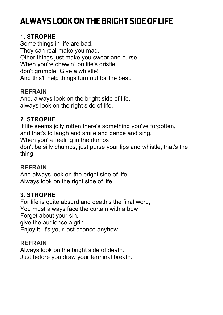### **ALWAYS LOOK ON THE BRIGHT SIDE OF LIFE**

#### **1. STROPHE**

Some things in life are bad. They can real-make you mad. Other things just make you swear and curse. When you're chewin' on life's gristle, don't grumble. Give a whistle! And this'll help things turn out for the best.

#### **REFRAIN**

And, always look on the bright side of life. always look on the right side of life.

#### **2. STROPHE**

If life seems jolly rotten there's something you've forgotten, and that's to laugh and smile and dance and sing. When you're feeling in the dumps don't be silly chumps, just purse your lips and whistle, that's the thing.

#### **REFRAIN**

And always look on the bright side of life. Always look on the right side of life.

#### **3. STROPHE**

For life is quite absurd and death's the final word, You must always face the curtain with a bow. Forget about your sin, give the audience a grin. Enjoy it, it's your last chance anyhow.

#### **REFRAIN**

Always look on the bright side of death. Just before you draw your terminal breath.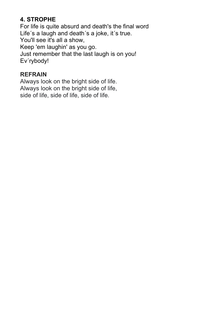#### **4. STROPHE**

For life is quite absurd and death's the final word Life's a laugh and death's a joke, it's true. You'll see it's all a show, Keep 'em laughin' as you go. Just remember that the last laugh is on you! Ev´rybody!

#### **REFRAIN**

Always look on the bright side of life. Always look on the bright side of life, side of life, side of life, side of life.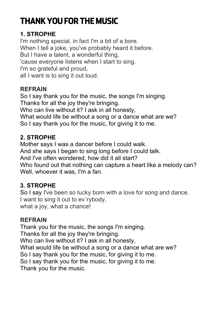### **THANK YOU FOR THE MUSIC**

#### **1. STROPHE**

I'm nothing special, in fact I'm a bit of a bore. When I tell a joke, you've probably heard it before. But I have a talent, a wonderful thing, 'cause everyone listens when I start to sing. I'm so grateful and proud, all I want is to sing it out loud.

#### **REFRAIN**

So I say thank you for the music, the songs I'm singing. Thanks for all the joy they're bringing. Who can live without it? I ask in all honesty, What would life be without a song or a dance what are we? So I say thank you for the music, for giving it to me.

#### **2. STROPHE**

Mother says I was a dancer before I could walk. And she says I began to sing long before I could talk. And I've often wondered, how did it all start? Who found out that nothing can capture a heart like a melody can? Well, whoever it was, I'm a fan.

#### **3. STROPHE**

So I say I've been so lucky born with a love for song and dance. I want to sing it out to ev´rybody, what a joy, what a chance!

#### **REFRAIN**

Thank you for the music, the songs I'm singing. Thanks for all the joy they're bringing. Who can live without it? I ask in all honesty. What would life be without a song or a dance what are we? So I say thank you for the music, for giving it to me. So I say thank you for the music, for giving it to me. Thank you for the music.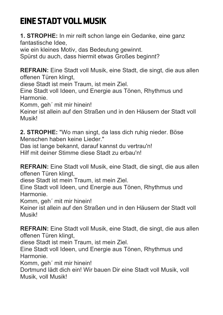### **EINE STADT VOLL MUSIK**

**1. STROPHE:** In mir reift schon lange ein Gedanke, eine ganz fantastische Idee,

wie ein kleines Motiv, das Bedeutung gewinnt.

Spürst du auch, dass hiermit etwas Großes beginnt?

**REFRAIN:** Eine Stadt voll Musik, eine Stadt, die singt, die aus allen offenen Türen klingt,

diese Stadt ist mein Traum, ist mein Ziel.

Eine Stadt voll Ideen, und Energie aus Tönen, Rhythmus und Harmonie.

Komm, geh´ mit mir hinein!

Keiner ist allein auf den Straßen und in den Häusern der Stadt voll Musik!

**2. STROPHE:** "Wo man singt, da lass dich ruhig nieder. Böse Menschen haben keine Lieder."

Das ist lange bekannt, darauf kannst du vertrau'n!

Hilf mit deiner Stimme diese Stadt zu erbau'n!

**REFRAIN:** Eine Stadt voll Musik, eine Stadt, die singt, die aus allen offenen Türen klingt,

diese Stadt ist mein Traum, ist mein Ziel.

Eine Stadt voll Ideen, und Energie aus Tönen, Rhythmus und Harmonie.

Komm, geh´ mit mir hinein!

Keiner ist allein auf den Straßen und in den Häusern der Stadt voll Musik!

**REFRAIN:** Eine Stadt voll Musik, eine Stadt, die singt, die aus allen offenen Türen klingt,

diese Stadt ist mein Traum, ist mein Ziel.

Eine Stadt voll Ideen, und Energie aus Tönen, Rhythmus und Harmonie.

Komm, geh´ mit mir hinein!

Dortmund lädt dich ein! Wir bauen Dir eine Stadt voll Musik, voll Musik, voll Musik!